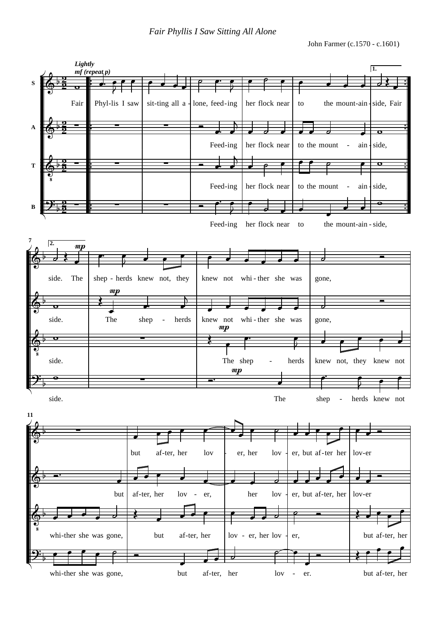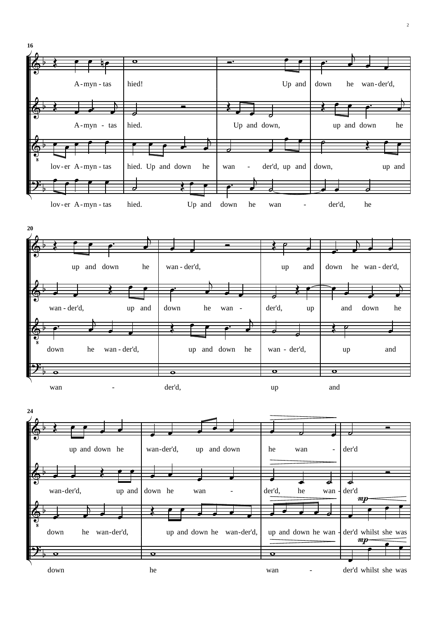

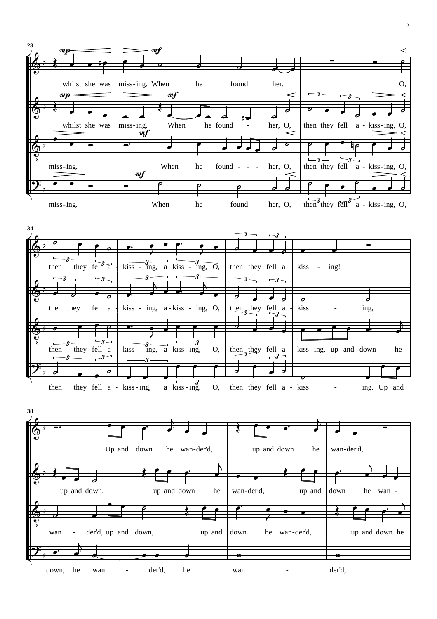

3